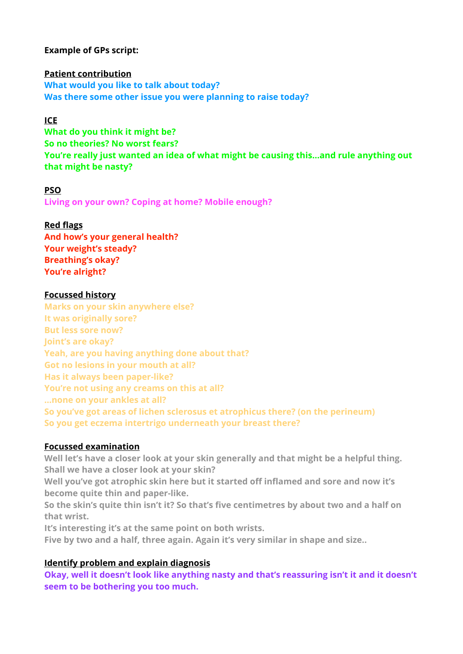# **Example of GPs script:**

**Patient contribution What would you like to talk about today? Was there some other issue you were planning to raise today?**

# **ICE**

**What do you think it might be? So no theories? No worst fears? You're really just wanted an idea of what might be causing this…and rule anything out that might be nasty?** 

#### **PSO**

**Living on your own? Coping at home? Mobile enough?** 

### **Red flags**

**And how's your general health? Your weight's steady? Breathing's okay? You're alright?**

#### **Focussed history**

**Marks on your skin anywhere else? It was originally sore? But less sore now? Joint's are okay? Yeah, are you having anything done about that? Got no lesions in your mouth at all? Has it always been paper-like? You're not using any creams on this at all? …none on your ankles at all? So you've got areas of lichen sclerosus et atrophicus there? (on the perineum) So you get eczema intertrigo underneath your breast there?** 

## **Focussed examination**

**Well let's have a closer look at your skin generally and that might be a helpful thing. Shall we have a closer look at your skin?**

**Well you've got atrophic skin here but it started off inflamed and sore and now it's become quite thin and paper-like.** 

**So the skin's quite thin isn't it? So that's five centimetres by about two and a half on that wrist.** 

**It's interesting it's at the same point on both wrists.** 

**Five by two and a half, three again. Again it's very similar in shape and size..** 

### **Identify problem and explain diagnosis**

**Okay, well it doesn't look like anything nasty and that's reassuring isn't it and it doesn't seem to be bothering you too much.**